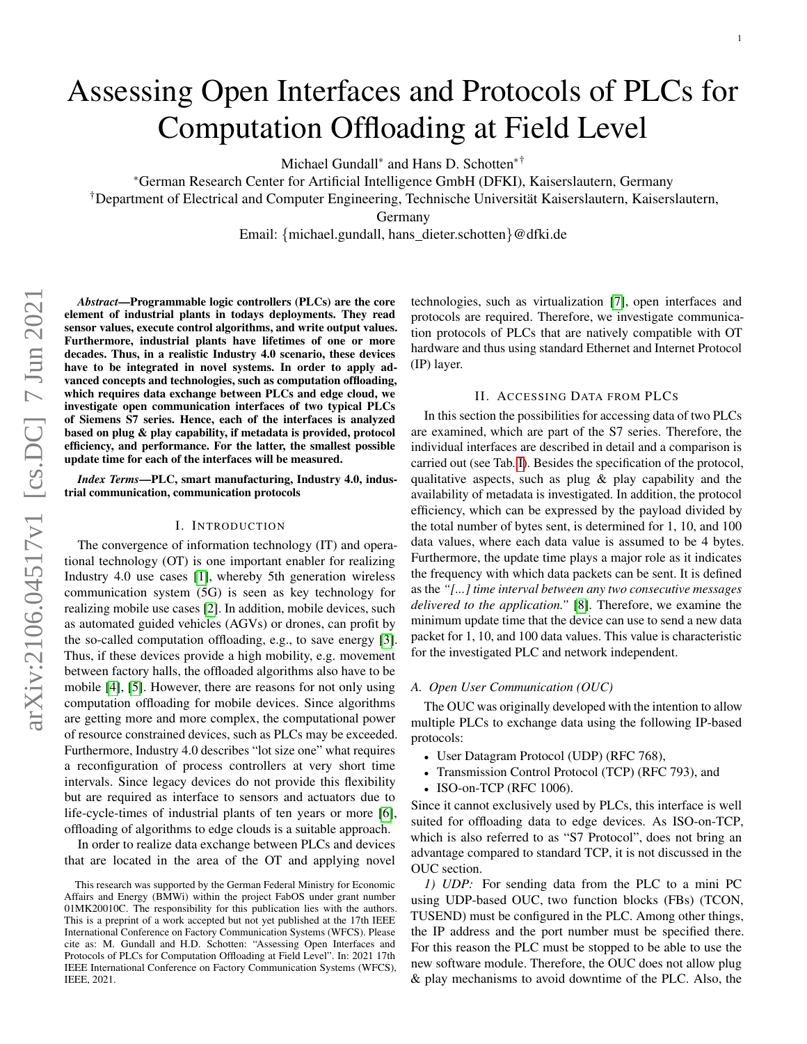# Assessing Open Interfaces and Protocols of PLCs for Computation Offloading at Field Level

Michael Gundall<sup>∗</sup> and Hans D. Schotten∗†

<sup>∗</sup>German Research Center for Artificial Intelligence GmbH (DFKI), Kaiserslautern, Germany

†Department of Electrical and Computer Engineering, Technische Universität Kaiserslautern, Kaiserslautern,

Germany

Email: {michael.gundall, hans dieter.schotten}@dfki.de

*Abstract*—Programmable logic controllers (PLCs) are the core element of industrial plants in todays deployments. They read sensor values, execute control algorithms, and write output values. Furthermore, industrial plants have lifetimes of one or more decades. Thus, in a realistic Industry 4.0 scenario, these devices have to be integrated in novel systems. In order to apply advanced concepts and technologies, such as computation offloading, which requires data exchange between PLCs and edge cloud, we investigate open communication interfaces of two typical PLCs of Siemens S7 series. Hence, each of the interfaces is analyzed based on plug & play capability, if metadata is provided, protocol efficiency, and performance. For the latter, the smallest possible update time for each of the interfaces will be measured.

*Index Terms*—PLC, smart manufacturing, Industry 4.0, industrial communication, communication protocols

## I. INTRODUCTION

The convergence of information technology (IT) and operational technology (OT) is one important enabler for realizing Industry 4.0 use cases [\[1\]](#page-3-0), whereby 5th generation wireless communication system (5G) is seen as key technology for realizing mobile use cases [\[2\]](#page-3-1). In addition, mobile devices, such as automated guided vehicles (AGVs) or drones, can profit by the so-called computation offloading, e.g., to save energy [\[3\]](#page-3-2). Thus, if these devices provide a high mobility, e.g. movement between factory halls, the offloaded algorithms also have to be mobile [\[4\]](#page-3-3), [\[5\]](#page-3-4). However, there are reasons for not only using computation offloading for mobile devices. Since algorithms are getting more and more complex, the computational power of resource constrained devices, such as PLCs may be exceeded. Furthermore, Industry 4.0 describes "lot size one" what requires a reconfiguration of process controllers at very short time intervals. Since legacy devices do not provide this flexibility but are required as interface to sensors and actuators due to life-cycle-times of industrial plants of ten years or more [\[6\]](#page-3-5), offloading of algorithms to edge clouds is a suitable approach.

In order to realize data exchange between PLCs and devices that are located in the area of the OT and applying novel technologies, such as virtualization [\[7\]](#page-3-6), open interfaces and protocols are required. Therefore, we investigate communication protocols of PLCs that are natively compatible with OT hardware and thus using standard Ethernet and Internet Protocol (IP) layer.

#### II. ACCESSING DATA FROM PLCS

In this section the possibilities for accessing data of two PLCs are examined, which are part of the S7 series. Therefore, the individual interfaces are described in detail and a comparison is carried out (see Tab. [I\)](#page-1-0). Besides the specification of the protocol, qualitative aspects, such as plug & play capability and the availability of metadata is investigated. In addition, the protocol efficiency, which can be expressed by the payload divided by the total number of bytes sent, is determined for 1, 10, and 100 data values, where each data value is assumed to be 4 bytes. Furthermore, the update time plays a major role as it indicates the frequency with which data packets can be sent. It is defined as the *"[...] time interval between any two consecutive messages delivered to the application."* [\[8\]](#page-3-7). Therefore, we examine the minimum update time that the device can use to send a new data packet for 1, 10, and 100 data values. This value is characteristic for the investigated PLC and network independent.

### *A. Open User Communication (OUC)*

The OUC was originally developed with the intention to allow multiple PLCs to exchange data using the following IP-based protocols:

- User Datagram Protocol (UDP) (RFC 768),
- Transmission Control Protocol (TCP) (RFC 793), and
- ISO-on-TCP (RFC 1006).

Since it cannot exclusively used by PLCs, this interface is well suited for offloading data to edge devices. As ISO-on-TCP, which is also referred to as "S7 Protocol", does not bring an advantage compared to standard TCP, it is not discussed in the OUC section.

*1) UDP:* For sending data from the PLC to a mini PC using UDP-based OUC, two function blocks (FBs) (TCON, TUSEND) must be configured in the PLC. Among other things, the IP address and the port number must be specified there. For this reason the PLC must be stopped to be able to use the new software module. Therefore, the OUC does not allow plug & play mechanisms to avoid downtime of the PLC. Also, the

This research was supported by the German Federal Ministry for Economic Affairs and Energy (BMWi) within the project FabOS under grant number 01MK20010C. The responsibility for this publication lies with the authors. This is a preprint of a work accepted but not yet published at the 17th IEEE International Conference on Factory Communication Systems (WFCS). Please cite as: M. Gundall and H.D. Schotten: "Assessing Open Interfaces and Protocols of PLCs for Computation Offloading at Field Level". In: 2021 17th IEEE International Conference on Factory Communication Systems (WFCS), IEEE, 2021.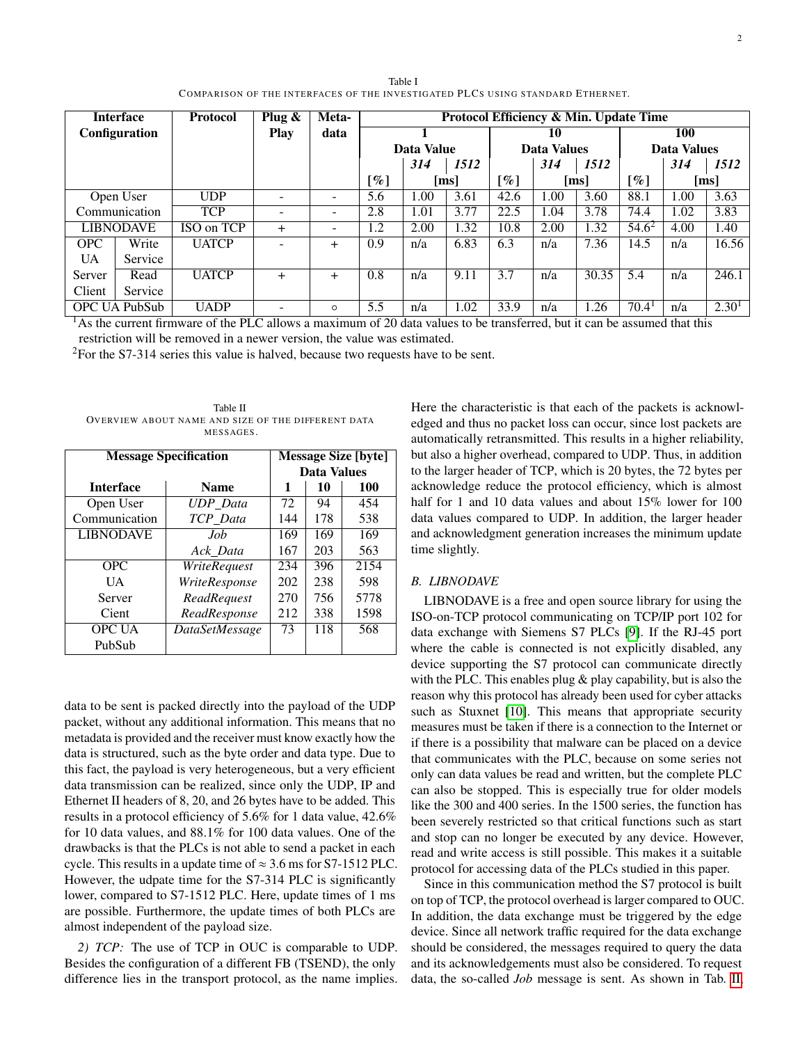<span id="page-1-0"></span>

| COMPARISON OF THE INTERFACES OF THE INVESTIGATED PLCS USING STANDARD ETHERNET. |               |                 |                          |               |                                        |      |                    |                          |      |                      |                           |      |       |
|--------------------------------------------------------------------------------|---------------|-----------------|--------------------------|---------------|----------------------------------------|------|--------------------|--------------------------|------|----------------------|---------------------------|------|-------|
| <b>Interface</b><br><b>Configuration</b>                                       |               | <b>Protocol</b> | Plug $\&$<br><b>Play</b> | Meta-<br>data | Protocol Efficiency & Min. Update Time |      |                    |                          |      |                      |                           |      |       |
|                                                                                |               |                 |                          |               | Data Value                             |      |                    | 10<br><b>Data Values</b> |      |                      | 100<br><b>Data Values</b> |      |       |
|                                                                                |               |                 |                          |               |                                        |      |                    |                          |      |                      |                           |      |       |
|                                                                                |               |                 |                          |               | $\lceil \% \rceil$                     |      | $\lceil ms \rceil$ | $\lceil \% \rceil$       |      | $\lfloor ms \rfloor$ | [%]                       |      | [ms]  |
|                                                                                | Open User     | <b>UDP</b>      |                          |               | 5.6                                    | 1.00 | 3.61               | 42.6                     | .00. | 3.60                 | 88.1                      | 1.00 | 3.63  |
|                                                                                | Communication | <b>TCP</b>      |                          |               | 2.8                                    | 1.01 | 3.77               | 22.5                     | 1.04 | 3.78                 | 74.4                      | 1.02 | 3.83  |
| <b>LIBNODAVE</b>                                                               |               | ISO on TCP      | $^{+}$                   |               | 1.2                                    | 2.00 | 1.32               | 10.8                     | 2.00 | 1.32                 | $54.6^2$                  | 4.00 | 1.40  |
| <b>OPC</b>                                                                     | Write         | <b>UATCP</b>    |                          | $\ddot{}$     | 0.9                                    | n/a  | 6.83               | 6.3                      | n/a  | 7.36                 | 14.5                      | n/a  | 16.56 |
| <b>UA</b>                                                                      | Service       |                 |                          |               |                                        |      |                    |                          |      |                      |                           |      |       |

Server Read UATCP + + 0.8  $n/a$  9.11 3.7  $n/a$  30.35 5.4  $n/a$  246.1

OPC UA PubSub UADP - ○ 5.5 n/a  $1.02$  33.9 n/a  $1.26$  70.4<sup>1</sup> n/a  $2.30^{1}$ 

Table I COMPARISON OF THE INTERFACES OF THE INVESTIGATED PLCS USING STANDARD ETHERNET.

<sup>1</sup>As the current firmware of the PLC allows a maximum of 20 data values to be transferred, but it can be assumed that this restriction will be removed in a newer version, the value was estimated.

 $2$ For the S7-314 series this value is halved, because two requests have to be sent.

<span id="page-1-1"></span>Table II OVERVIEW ABOUT NAME AND SIZE OF THE DIFFERENT DATA MESSAGES.

Client | Service

| <b>Message Specification</b> | <b>Message Size [byte]</b> |                    |     |      |  |  |
|------------------------------|----------------------------|--------------------|-----|------|--|--|
|                              |                            | <b>Data Values</b> |     |      |  |  |
| <b>Interface</b>             | <b>Name</b>                | 1                  | 10  | 100  |  |  |
| Open User                    | <b>UDP</b> Data            | 72                 | 94  | 454  |  |  |
| Communication                | TCP Data                   | 144                | 178 | 538  |  |  |
| <b>LIBNODAVE</b>             | Job                        | 169                | 169 | 169  |  |  |
|                              | Ack Data                   | 167                | 203 | 563  |  |  |
| OPC.                         | WriteRequest               | 234                | 396 | 2154 |  |  |
| <b>UA</b>                    | WriteResponse              | 202                | 238 | 598  |  |  |
| Server                       | ReadRequest                | 270                | 756 | 5778 |  |  |
| Cient                        | ReadResponse               | 212                | 338 | 1598 |  |  |
| <b>OPC UA</b>                | DataSetMessage             | 73                 | 118 | 568  |  |  |
| PubSub                       |                            |                    |     |      |  |  |

data to be sent is packed directly into the payload of the UDP packet, without any additional information. This means that no metadata is provided and the receiver must know exactly how the data is structured, such as the byte order and data type. Due to this fact, the payload is very heterogeneous, but a very efficient data transmission can be realized, since only the UDP, IP and Ethernet II headers of 8, 20, and 26 bytes have to be added. This results in a protocol efficiency of 5.6% for 1 data value, 42.6% for 10 data values, and 88.1% for 100 data values. One of the drawbacks is that the PLCs is not able to send a packet in each cycle. This results in a update time of  $\approx 3.6$  ms for S7-1512 PLC. However, the udpate time for the S7-314 PLC is significantly lower, compared to S7-1512 PLC. Here, update times of 1 ms are possible. Furthermore, the update times of both PLCs are almost independent of the payload size.

*2) TCP:* The use of TCP in OUC is comparable to UDP. Besides the configuration of a different FB (TSEND), the only difference lies in the transport protocol, as the name implies. Here the characteristic is that each of the packets is acknowledged and thus no packet loss can occur, since lost packets are automatically retransmitted. This results in a higher reliability, but also a higher overhead, compared to UDP. Thus, in addition to the larger header of TCP, which is 20 bytes, the 72 bytes per acknowledge reduce the protocol efficiency, which is almost half for 1 and 10 data values and about 15% lower for 100 data values compared to UDP. In addition, the larger header and acknowledgment generation increases the minimum update time slightly.

## *B. LIBNODAVE*

LIBNODAVE is a free and open source library for using the ISO-on-TCP protocol communicating on TCP/IP port 102 for data exchange with Siemens S7 PLCs [\[9\]](#page-3-8). If the RJ-45 port where the cable is connected is not explicitly disabled, any device supporting the S7 protocol can communicate directly with the PLC. This enables plug & play capability, but is also the reason why this protocol has already been used for cyber attacks such as Stuxnet [\[10\]](#page-3-9). This means that appropriate security measures must be taken if there is a connection to the Internet or if there is a possibility that malware can be placed on a device that communicates with the PLC, because on some series not only can data values be read and written, but the complete PLC can also be stopped. This is especially true for older models like the 300 and 400 series. In the 1500 series, the function has been severely restricted so that critical functions such as start and stop can no longer be executed by any device. However, read and write access is still possible. This makes it a suitable protocol for accessing data of the PLCs studied in this paper.

Since in this communication method the S7 protocol is built on top of TCP, the protocol overhead is larger compared to OUC. In addition, the data exchange must be triggered by the edge device. Since all network traffic required for the data exchange should be considered, the messages required to query the data and its acknowledgements must also be considered. To request data, the so-called *Job* message is sent. As shown in Tab. [II,](#page-1-1)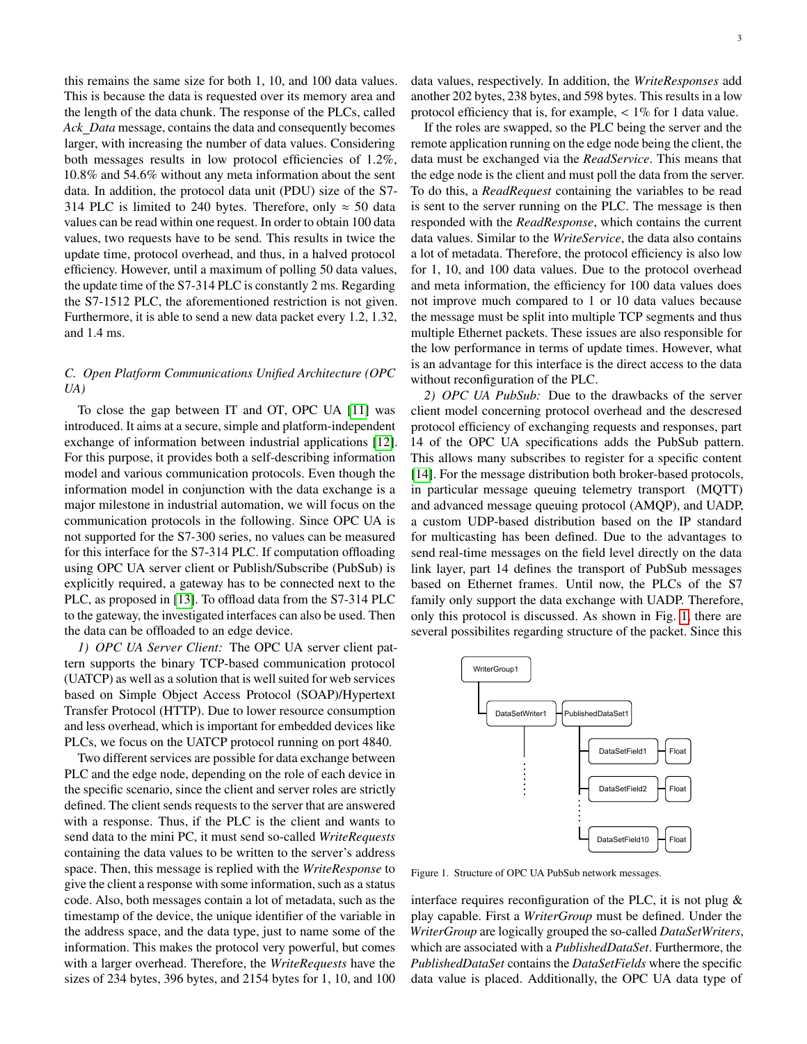this remains the same size for both 1, 10, and 100 data values. This is because the data is requested over its memory area and the length of the data chunk. The response of the PLCs, called *Ack Data* message, contains the data and consequently becomes larger, with increasing the number of data values. Considering both messages results in low protocol efficiencies of 1.2%, 10.8% and 54.6% without any meta information about the sent data. In addition, the protocol data unit (PDU) size of the S7- 314 PLC is limited to 240 bytes. Therefore, only  $\approx$  50 data values can be read within one request. In order to obtain 100 data values, two requests have to be send. This results in twice the update time, protocol overhead, and thus, in a halved protocol efficiency. However, until a maximum of polling 50 data values, the update time of the S7-314 PLC is constantly 2 ms. Regarding the S7-1512 PLC, the aforementioned restriction is not given. Furthermore, it is able to send a new data packet every 1.2, 1.32, and 1.4 ms.

# *C. Open Platform Communications Unified Architecture (OPC UA)*

To close the gap between IT and OT, OPC UA [\[11\]](#page-3-10) was introduced. It aims at a secure, simple and platform-independent exchange of information between industrial applications [\[12\]](#page-3-11). For this purpose, it provides both a self-describing information model and various communication protocols. Even though the information model in conjunction with the data exchange is a major milestone in industrial automation, we will focus on the communication protocols in the following. Since OPC UA is not supported for the S7-300 series, no values can be measured for this interface for the S7-314 PLC. If computation offloading using OPC UA server client or Publish/Subscribe (PubSub) is explicitly required, a gateway has to be connected next to the PLC, as proposed in [\[13\]](#page-3-12). To offload data from the S7-314 PLC to the gateway, the investigated interfaces can also be used. Then the data can be offloaded to an edge device.

*1) OPC UA Server Client:* The OPC UA server client pattern supports the binary TCP-based communication protocol (UATCP) as well as a solution that is well suited for web services based on Simple Object Access Protocol (SOAP)/Hypertext Transfer Protocol (HTTP). Due to lower resource consumption and less overhead, which is important for embedded devices like PLCs, we focus on the UATCP protocol running on port 4840.

Two different services are possible for data exchange between PLC and the edge node, depending on the role of each device in the specific scenario, since the client and server roles are strictly defined. The client sends requests to the server that are answered with a response. Thus, if the PLC is the client and wants to send data to the mini PC, it must send so-called *WriteRequests* containing the data values to be written to the server's address space. Then, this message is replied with the *WriteResponse* to give the client a response with some information, such as a status code. Also, both messages contain a lot of metadata, such as the timestamp of the device, the unique identifier of the variable in the address space, and the data type, just to name some of the information. This makes the protocol very powerful, but comes with a larger overhead. Therefore, the *WriteRequests* have the sizes of 234 bytes, 396 bytes, and 2154 bytes for 1, 10, and 100

data values, respectively. In addition, the *WriteResponses* add another 202 bytes, 238 bytes, and 598 bytes. This results in a low protocol efficiency that is, for example,  $\lt$  1% for 1 data value.

If the roles are swapped, so the PLC being the server and the remote application running on the edge node being the client, the data must be exchanged via the *ReadService*. This means that the edge node is the client and must poll the data from the server. To do this, a *ReadRequest* containing the variables to be read is sent to the server running on the PLC. The message is then responded with the *ReadResponse*, which contains the current data values. Similar to the *WriteService*, the data also contains a lot of metadata. Therefore, the protocol efficiency is also low for 1, 10, and 100 data values. Due to the protocol overhead and meta information, the efficiency for 100 data values does not improve much compared to 1 or 10 data values because the message must be split into multiple TCP segments and thus multiple Ethernet packets. These issues are also responsible for the low performance in terms of update times. However, what is an advantage for this interface is the direct access to the data without reconfiguration of the PLC.

*2) OPC UA PubSub:* Due to the drawbacks of the server client model concerning protocol overhead and the descresed protocol efficiency of exchanging requests and responses, part 14 of the OPC UA specifications adds the PubSub pattern. This allows many subscribes to register for a specific content [\[14\]](#page-3-13). For the message distribution both broker-based protocols, in particular message queuing telemetry transport (MQTT) and advanced message queuing protocol (AMQP), and UADP, a custom UDP-based distribution based on the IP standard for multicasting has been defined. Due to the advantages to send real-time messages on the field level directly on the data link layer, part 14 defines the transport of PubSub messages based on Ethernet frames. Until now, the PLCs of the S7 family only support the data exchange with UADP. Therefore, only this protocol is discussed. As shown in Fig. [1,](#page-2-0) there are several possibilites regarding structure of the packet. Since this



<span id="page-2-0"></span>Figure 1. Structure of OPC UA PubSub network messages.

interface requires reconfiguration of the PLC, it is not plug & play capable. First a *WriterGroup* must be defined. Under the *WriterGroup* are logically grouped the so-called *DataSetWriters*, which are associated with a *PublishedDataSet*. Furthermore, the *PublishedDataSet* contains the *DataSetFields* where the specific data value is placed. Additionally, the OPC UA data type of